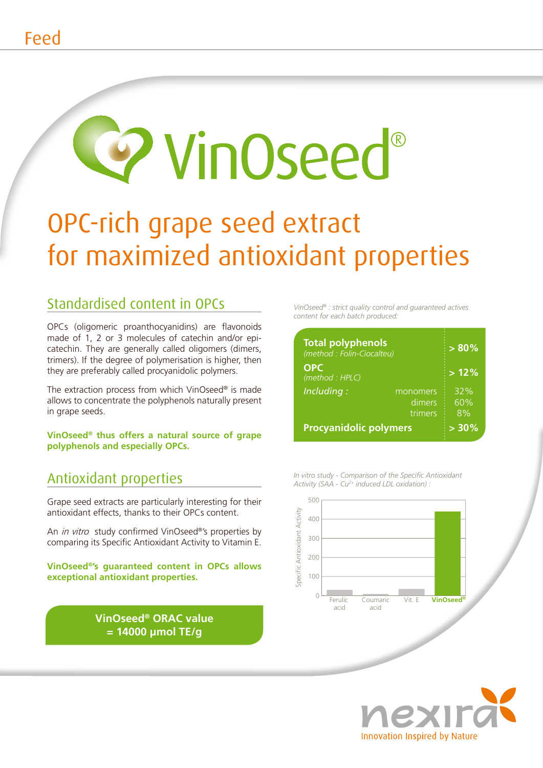# **9 VinOseed®**

## OPC-rich grape seed extract for maximized antioxidant properties

#### Standardised content in OPCs

OPCs (oligomeric proanthocyanidins) are flavonoids made of 1, 2 or 3 molecules of catechin and/or epicatechin. They are generally called oligomers (dimers, trimers). If the degree of polymerisation is higher, then they are preferably called procyanidolic polymers.

The extraction process from which VinOseed® is made allows to concentrate the polyphenols naturally present in grape seeds.

VinOseed<sup>®</sup> thus offers a natural source of grape polyphenols and especially OPCs.

#### **Antioxidant properties**

Grape seed extracts are particularly interesting for their antioxidant effects, thanks to their OPCs content.

An in vitro study confirmed VinOseed®'s properties by comparing its Specific Antioxidant Activity to Vitamin E.

VinOseed<sup>®'</sup>s quaranteed content in OPCs allows exceptional antioxidant properties.

> VinOseed<sup>®</sup> ORAC value  $= 14000$  µmol TE/g

VinOseed® : strict quality control and quaranteed actives content for each batch produced:

| <b>Total polyphenols</b><br>(method : Folin-Ciocalteu) | $\frac{1}{2}$ > 80% |
|--------------------------------------------------------|---------------------|
| <b>OPC</b><br>(method: HPLC)                           | $\frac{1}{2}$ > 12% |
| Including:<br>monomers<br>dimers<br>trimers            | 32%<br>60%<br>$8\%$ |
| <b>Procyanidolic polymers</b>                          | $> 30\%$            |



In vitro study - Comparison of the Specific Antioxidant

Activity (SAA - Cu<sup>2+</sup> induced LDL oxidation) :



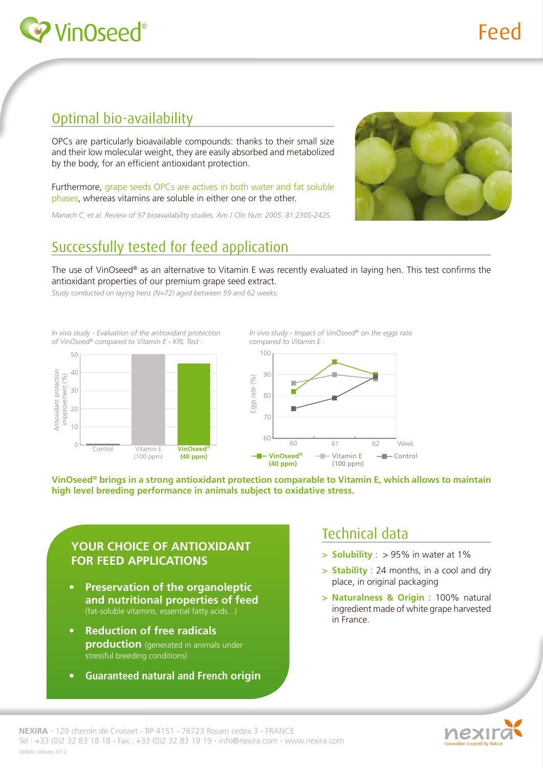

#### Optimal bio-availability

OPCs are particularly bioavailable compounds: thanks to their small size and their low molecular weight, they are easily absorbed and metabolized by the body, for an efficient antioxidant protection.

Furthermore, grape seeds OPCs are actives in both water and fat soluble phases, whereas vitamins are soluble in either one or the other.

Manach C, et al. Review of 97 bioavailability studies. Am J Clin Nutr. 2005. 81:230S-242S.



#### Successfully tested for feed application

The use of VinOseed® as an alternative to Vitamin E was recently evaluated in laying hen. This test confirms the antioxidant properties of our premium grape seed extract.

Study conducted on laying hens (N=72) aged between 59 and 62 weeks.

In vivo study - Evaluation of the antioxidant protection of VinOseed® compared to Vitamin E - KRL Test :



In vivo study - Impact of VinOseed® on the eggs rate compared to Vitamin E:



VinOseed® brings in a strong antioxidant protection comparable to Vitamin E, which allows to maintain high level breeding performance in animals subject to oxidative stress.

#### YOUR CHOICE OF ANTIOXIDANT **FOR FEED APPLICATIONS**

- **Preservation of the organoleptic** and nutritional properties of feed (fat-soluble vitamins, essential fatty acids...)
- **Reduction of free radicals**  $\bullet$ **production** (generated in animals under stressful breeding conditions)
- **Guaranteed natural and French origin**

#### Technical data

- $>$  Solubility :  $>$  95% in water at 1%
- $>$  Stability : 24 months, in a cool and dry place, in original packaging
- > Naturalness & Origin : 100% natural ingredient made of white grape harvested in France.

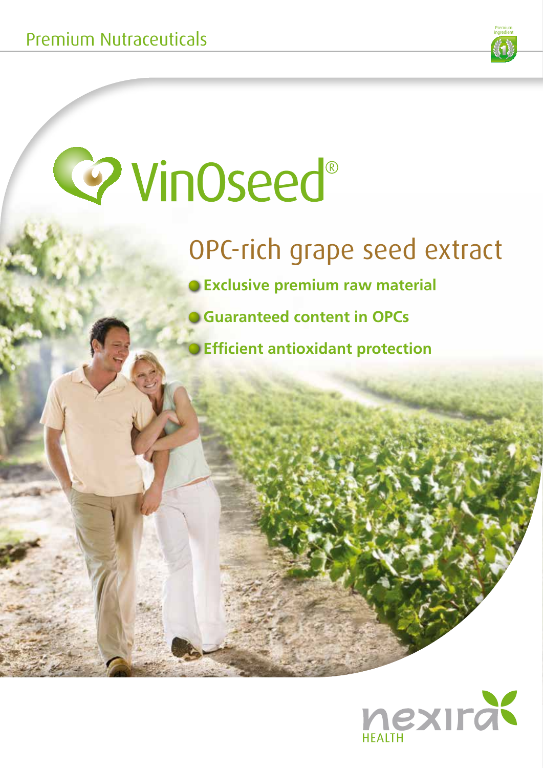

## **Co** VinOseed®

## OPC-rich grape seed extract

**O Exclusive premium raw material** 

- **Guaranteed content in OPCs** 
	- **Efficient antioxidant protection**